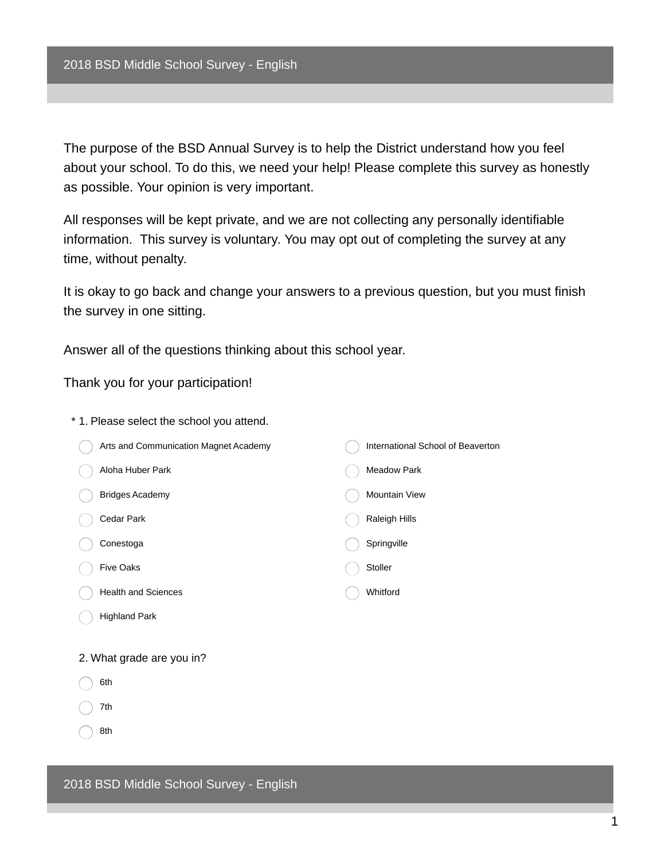The purpose of the BSD Annual Survey is to help the District understand how you feel about your school. To do this, we need your help! Please complete this survey as honestly as possible. Your opinion is very important.

All responses will be kept private, and we are not collecting any personally identifiable information. This survey is voluntary. You may opt out of completing the survey at any time, without penalty.

It is okay to go back and change your answers to a previous question, but you must finish the survey in one sitting.

Answer all of the questions thinking about this school year.

Thank you for your participation!

- \* 1. Please select the school you attend. Arts and Communication Magnet Academy Aloha Huber Park Bridges Academy Cedar Park Conestoga Five Oaks Health and Sciences Highland Park International School of Beaverton Meadow Park Mountain View Raleigh Hills **Springville** Stoller Whitford 2. What grade are you in? 6th 7th
	- 8th

2018 BSD Middle School Survey - English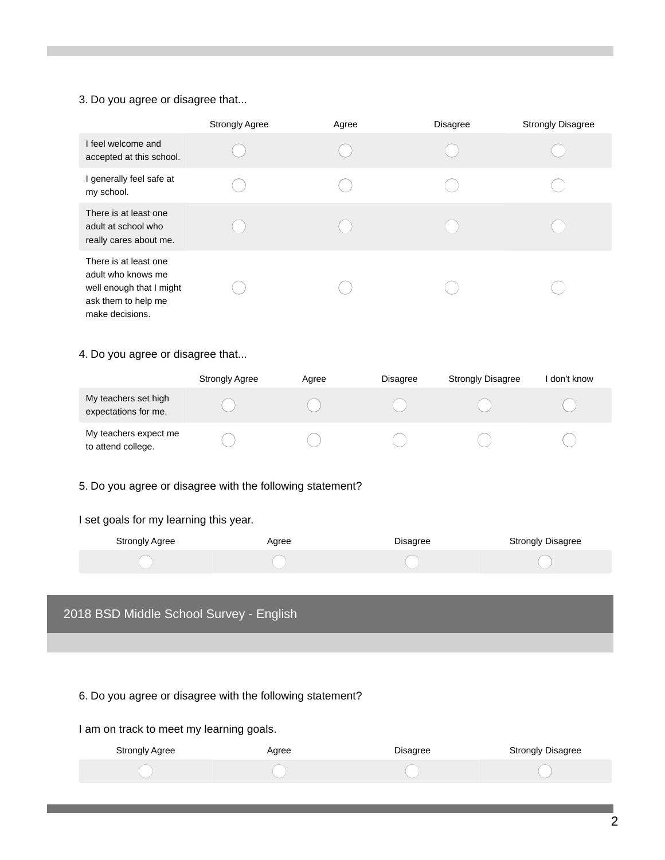#### 3. Do you agree or disagree that...

|                                                                                                                   | <b>Strongly Agree</b> | Agree | <b>Disagree</b> | <b>Strongly Disagree</b> |
|-------------------------------------------------------------------------------------------------------------------|-----------------------|-------|-----------------|--------------------------|
| I feel welcome and<br>accepted at this school.                                                                    |                       |       |                 |                          |
| I generally feel safe at<br>my school.                                                                            |                       |       |                 |                          |
| There is at least one<br>adult at school who<br>really cares about me.                                            |                       |       |                 |                          |
| There is at least one<br>adult who knows me<br>well enough that I might<br>ask them to help me<br>make decisions. |                       |       |                 |                          |

## 4. Do you agree or disagree that...

|                                              | <b>Strongly Agree</b> | Agree | <b>Disagree</b> | <b>Strongly Disagree</b> | don't know |
|----------------------------------------------|-----------------------|-------|-----------------|--------------------------|------------|
| My teachers set high<br>expectations for me. |                       |       |                 |                          |            |
| My teachers expect me<br>to attend college.  |                       |       |                 |                          |            |

## 5. Do you agree or disagree with the following statement?

#### I set goals for my learning this year.

| Strongly Agree | Agree | <b>Disagree</b> | Strongly Disagree |
|----------------|-------|-----------------|-------------------|
|                |       |                 |                   |

# 2018 BSD Middle School Survey - English

# 6. Do you agree or disagree with the following statement?

### I am on track to meet my learning goals.

| Strongly Agree | Agree | Disagree | <b>Strongly Disagree</b> |
|----------------|-------|----------|--------------------------|
|                |       |          |                          |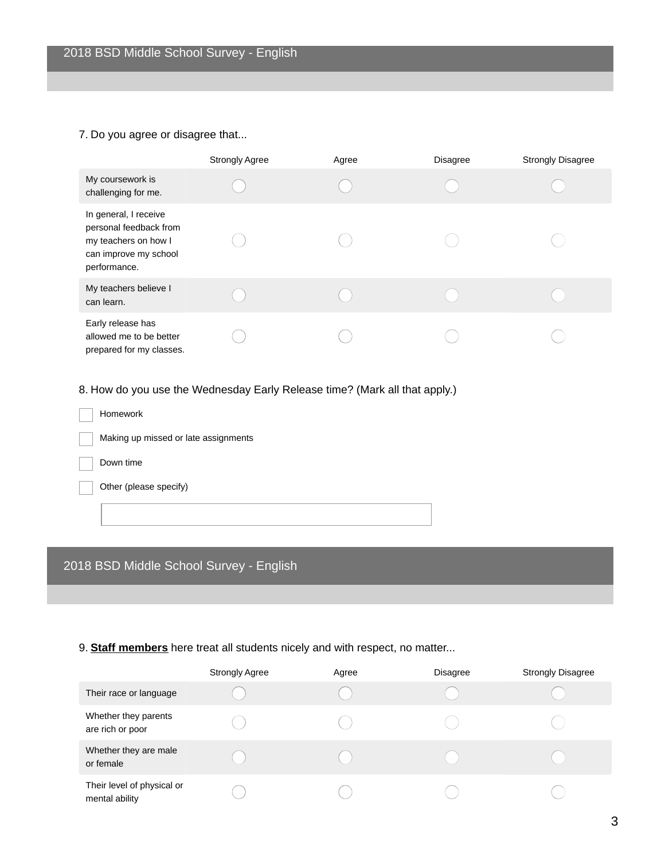## 7. Do you agree or disagree that...

|                                                                                                                  | <b>Strongly Agree</b> | Agree | <b>Disagree</b> | <b>Strongly Disagree</b> |
|------------------------------------------------------------------------------------------------------------------|-----------------------|-------|-----------------|--------------------------|
| My coursework is<br>challenging for me.                                                                          |                       |       |                 |                          |
| In general, I receive<br>personal feedback from<br>my teachers on how I<br>can improve my school<br>performance. |                       |       |                 |                          |
| My teachers believe I<br>can learn.                                                                              |                       |       |                 |                          |
| Early release has<br>allowed me to be better<br>prepared for my classes.                                         |                       |       |                 |                          |

8. How do you use the Wednesday Early Release time? (Mark all that apply.)

| Homework                             |  |
|--------------------------------------|--|
| Making up missed or late assignments |  |
| Down time                            |  |
| Other (please specify)               |  |
|                                      |  |

# 2018 BSD Middle School Survey - English

## 9. **Staff members** here treat all students nicely and with respect, no matter...

|                                              | <b>Strongly Agree</b> | Agree | <b>Disagree</b> | <b>Strongly Disagree</b> |
|----------------------------------------------|-----------------------|-------|-----------------|--------------------------|
| Their race or language                       |                       |       |                 |                          |
| Whether they parents<br>are rich or poor     |                       |       |                 |                          |
| Whether they are male<br>or female           |                       |       |                 |                          |
| Their level of physical or<br>mental ability |                       |       |                 |                          |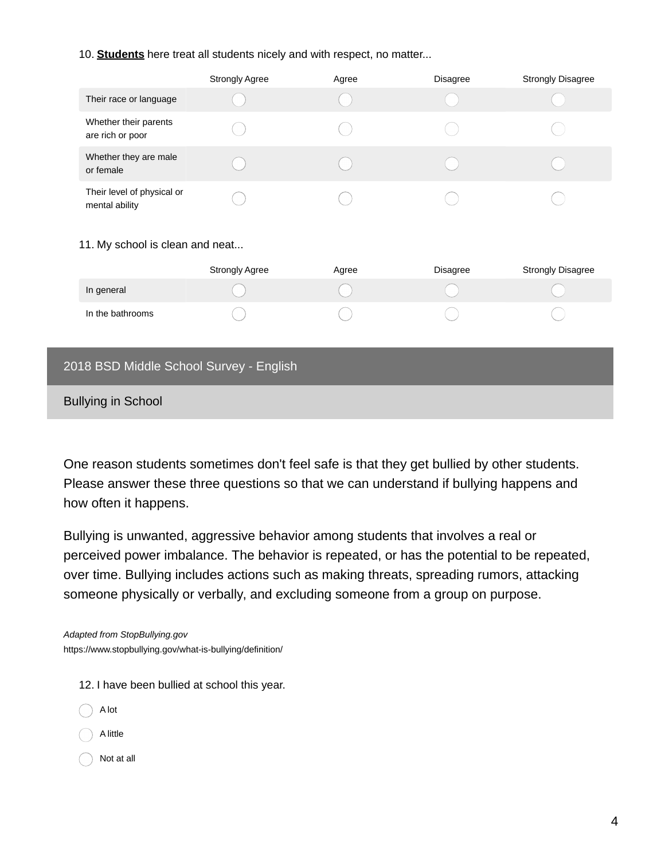### 10. **Students** here treat all students nicely and with respect, no matter...

|                                              | <b>Strongly Agree</b> | Agree | <b>Disagree</b> | <b>Strongly Disagree</b> |
|----------------------------------------------|-----------------------|-------|-----------------|--------------------------|
| Their race or language                       |                       |       |                 |                          |
| Whether their parents<br>are rich or poor    |                       |       |                 |                          |
| Whether they are male<br>or female           |                       |       |                 |                          |
| Their level of physical or<br>mental ability |                       |       |                 |                          |

### 11. My school is clean and neat...

|                  | <b>Strongly Agree</b> | Agree | <b>Disagree</b> | <b>Strongly Disagree</b> |
|------------------|-----------------------|-------|-----------------|--------------------------|
| In general       |                       |       |                 |                          |
| In the bathrooms |                       |       |                 |                          |

## 2018 BSD Middle School Survey - English

Bullying in School

One reason students sometimes don't feel safe is that they get bullied by other students. Please answer these three questions so that we can understand if bullying happens and how often it happens.

Bullying is unwanted, aggressive behavior among students that involves a real or perceived power imbalance. The behavior is repeated, or has the potential to be repeated, over time. Bullying includes actions such as making threats, spreading rumors, attacking someone physically or verbally, and excluding someone from a group on purpose.

*Adapted from StopBullying.gov* https://www.stopbullying.gov/what-is-bullying/definition/

- 12. I have been bullied at school this year.
- A lot A little Not at all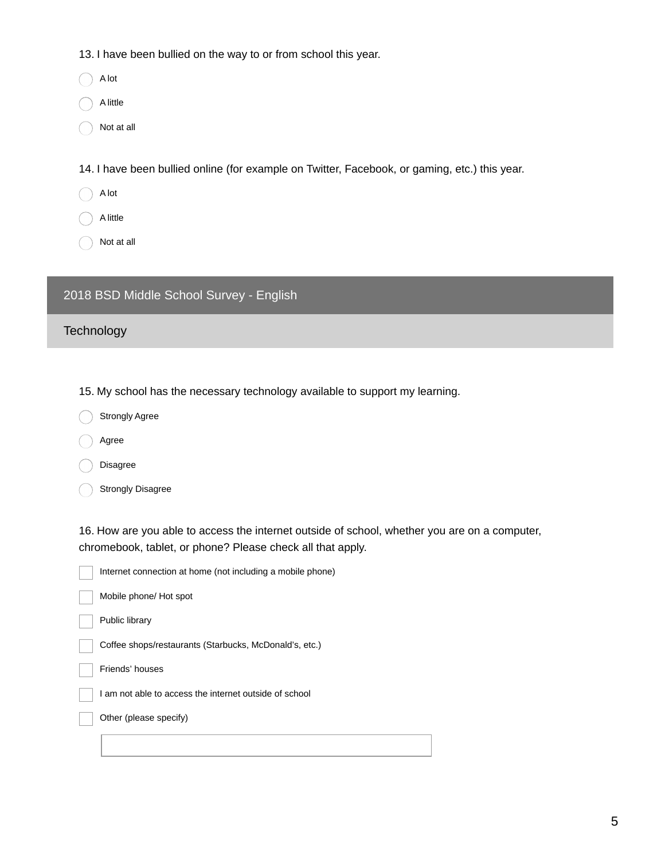13. I have been bullied on the way to or from school this year.

A lot

A little

Not at all

14. I have been bullied online (for example on Twitter, Facebook, or gaming, etc.) this year.

A lot

A little

Not at all

# 2018 BSD Middle School Survey - English

**Technology** 

15. My school has the necessary technology available to support my learning.

Strongly Agree

Agree

Disagree

Strongly Disagree

16. How are you able to access the internet outside of school, whether you are on a computer, chromebook, tablet, or phone? Please check all that apply.

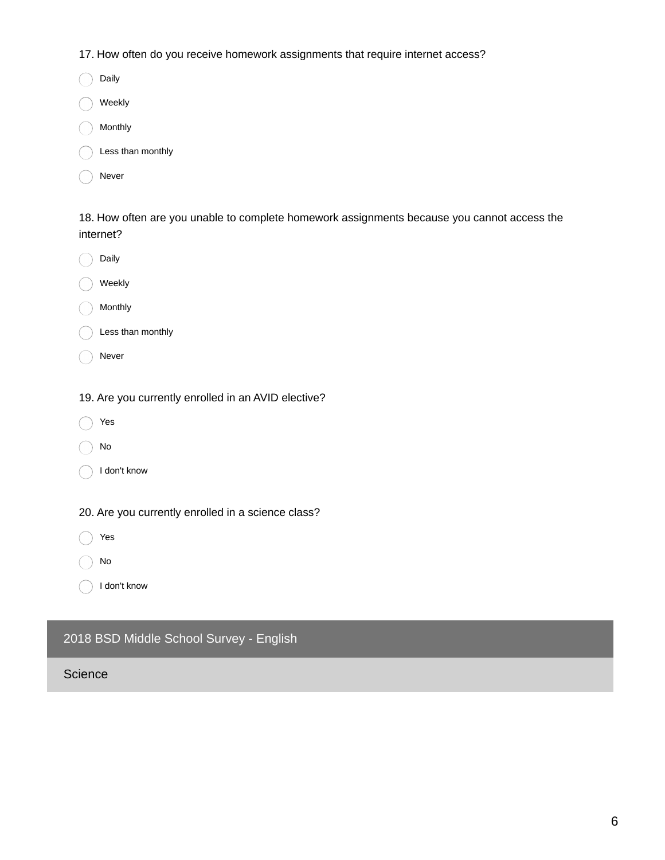17. How often do you receive homework assignments that require internet access?

| Daily             |
|-------------------|
| Weekly            |
| Monthly           |
| Less than monthly |
| Never             |

18. How often are you unable to complete homework assignments because you cannot access the internet?

|  | Dailv |
|--|-------|

Weekly

Monthly

|  |  |  | Less than monthly |
|--|--|--|-------------------|
|--|--|--|-------------------|

- ◯ Never
- 19. Are you currently enrolled in an AVID elective?
- Yes
- No
- I don't know

20. Are you currently enrolled in a science class?

Yes

No

I don't know

# 2018 BSD Middle School Survey - English

**Science**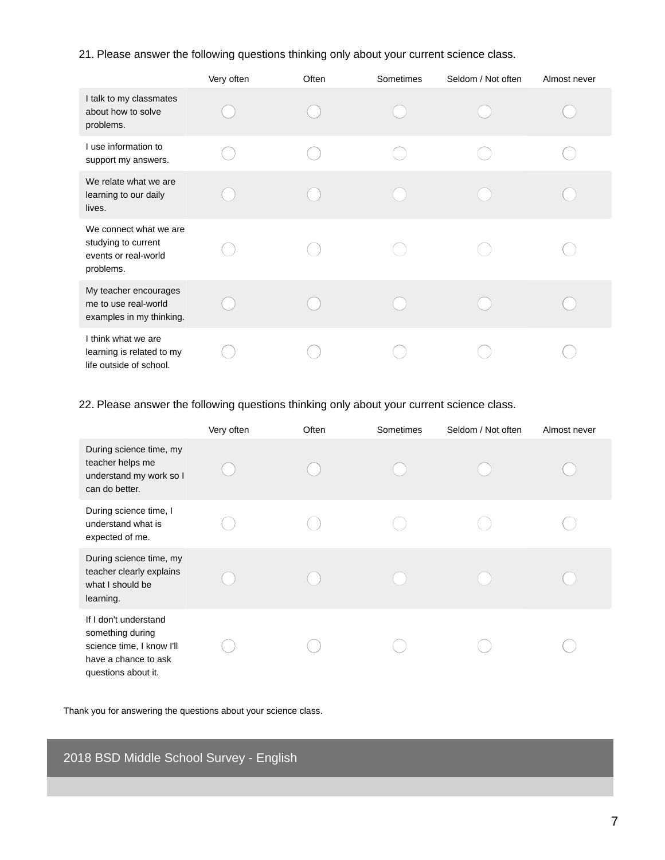21. Please answer the following questions thinking only about your current science class.

|                                                                                    | Very often | Often | Sometimes | Seldom / Not often | Almost never |
|------------------------------------------------------------------------------------|------------|-------|-----------|--------------------|--------------|
| I talk to my classmates<br>about how to solve<br>problems.                         |            |       |           |                    |              |
| I use information to<br>support my answers.                                        |            |       |           |                    |              |
| We relate what we are<br>learning to our daily<br>lives.                           |            |       |           |                    |              |
| We connect what we are<br>studying to current<br>events or real-world<br>problems. |            |       |           |                    |              |
| My teacher encourages<br>me to use real-world<br>examples in my thinking.          |            |       |           |                    |              |
| I think what we are<br>learning is related to my<br>life outside of school.        |            |       |           |                    |              |

22. Please answer the following questions thinking only about your current science class.

|                                                                                                                       | Very often | Often | Sometimes | Seldom / Not often | Almost never |
|-----------------------------------------------------------------------------------------------------------------------|------------|-------|-----------|--------------------|--------------|
| During science time, my<br>teacher helps me<br>understand my work so I<br>can do better.                              |            |       |           |                    |              |
| During science time, I<br>understand what is<br>expected of me.                                                       |            |       |           |                    |              |
| During science time, my<br>teacher clearly explains<br>what I should be<br>learning.                                  |            |       |           |                    |              |
| If I don't understand<br>something during<br>science time, I know I'll<br>have a chance to ask<br>questions about it. |            |       |           |                    |              |

Thank you for answering the questions about your science class.

2018 BSD Middle School Survey - English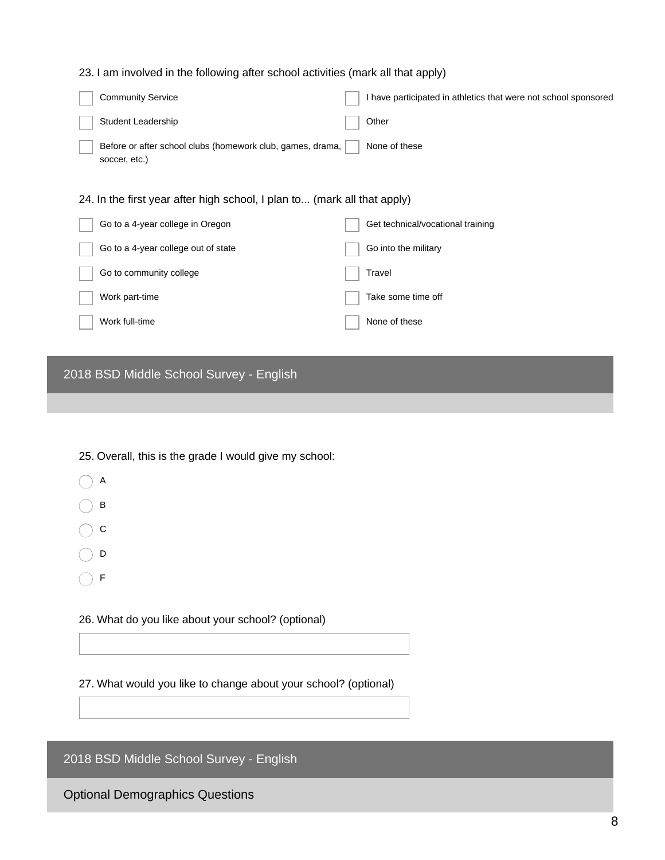### 23. I am involved in the following after school activities (mark all that apply)

| <b>Community Service</b>                                                    | I have participated in athletics that were not school sponsored |
|-----------------------------------------------------------------------------|-----------------------------------------------------------------|
| Student Leadership                                                          | Other                                                           |
| Before or after school clubs (homework club, games, drama,<br>soccer, etc.) | None of these                                                   |
| 24. In the first year after high school, I plan to (mark all that apply)    |                                                                 |
| Go to a 4-year college in Oregon                                            | Get technical/vocational training                               |
| Go to a 4-year college out of state                                         | Go into the military                                            |
| Go to community college                                                     | Travel                                                          |
| Work part-time                                                              | Take some time off                                              |
| Work full-time                                                              | None of these                                                   |
|                                                                             |                                                                 |

# 2018 BSD Middle School Survey - English

25. Overall, this is the grade I would give my school:

- $\bigcap$  A
- $\bigcap$  B
- $\bigcirc$  c
- $\bigcirc$  D
- $\bigcirc$  F

26. What do you like about your school? (optional)

27. What would you like to change about your school? (optional)

2018 BSD Middle School Survey - English

Optional Demographics Questions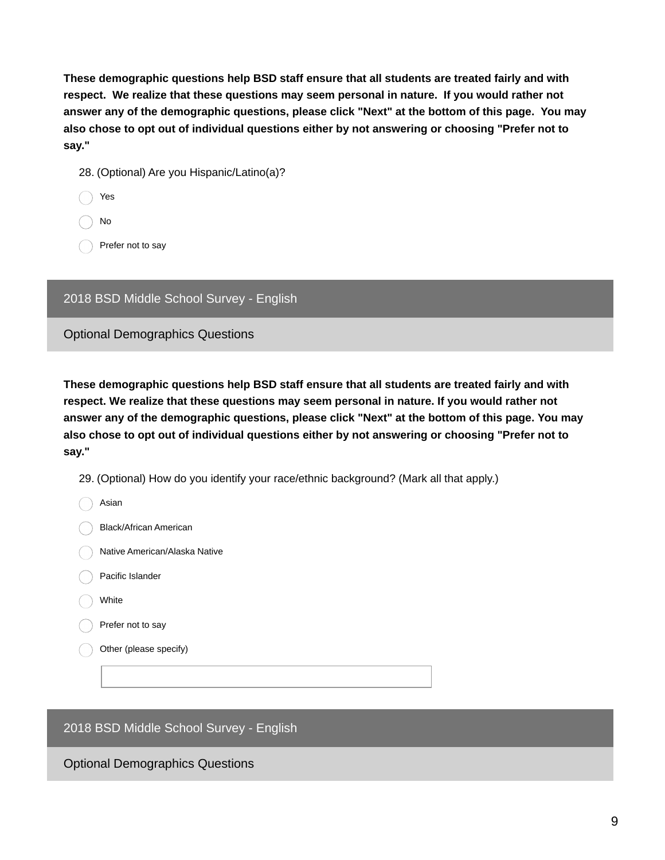**These demographic questions help BSD staff ensure that all students are treated fairly and with respect. We realize that these questions may seem personal in nature. If you would rather not answer any of the demographic questions, please click "Next" at the bottom of this page. You may also chose to opt out of individual questions either by not answering or choosing "Prefer not to say."**

- 28. (Optional) Are you Hispanic/Latino(a)?
- Yes
- No

Prefer not to say

2018 BSD Middle School Survey - English

Optional Demographics Questions

**These demographic questions help BSD staff ensure that all students are treated fairly and with respect. We realize that these questions may seem personal in nature. If you would rather not answer any of the demographic questions, please click "Next" at the bottom of this page. You may also chose to opt out of individual questions either by not answering or choosing "Prefer not to say."**

29. (Optional) How do you identify your race/ethnic background? (Mark all that apply.)

| Asian                         |
|-------------------------------|
| Black/African American        |
| Native American/Alaska Native |
| Pacific Islander              |
| White                         |
| Prefer not to say             |
| Other (please specify)        |
|                               |

2018 BSD Middle School Survey - English

Optional Demographics Questions